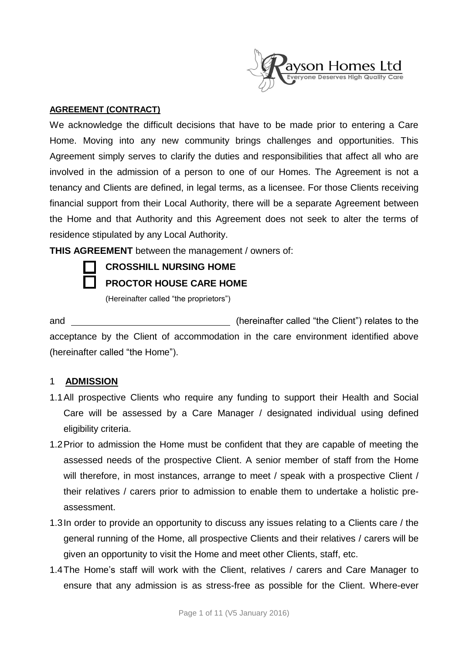

#### **AGREEMENT (CONTRACT)**

We acknowledge the difficult decisions that have to be made prior to entering a Care Home. Moving into any new community brings challenges and opportunities. This Agreement simply serves to clarify the duties and responsibilities that affect all who are involved in the admission of a person to one of our Homes. The Agreement is not a tenancy and Clients are defined, in legal terms, as a licensee. For those Clients receiving financial support from their Local Authority, there will be a separate Agreement between the Home and that Authority and this Agreement does not seek to alter the terms of residence stipulated by any Local Authority.

**THIS AGREEMENT** between the management / owners of:

# **CROSSHILL NURSING HOME**

**PROCTOR HOUSE CARE HOME**

(Hereinafter called "the proprietors")

and (hereinafter called "the Client") relates to the acceptance by the Client of accommodation in the care environment identified above (hereinafter called "the Home").

## 1 **ADMISSION**

- 1.1All prospective Clients who require any funding to support their Health and Social Care will be assessed by a Care Manager / designated individual using defined eligibility criteria.
- 1.2Prior to admission the Home must be confident that they are capable of meeting the assessed needs of the prospective Client. A senior member of staff from the Home will therefore, in most instances, arrange to meet / speak with a prospective Client / their relatives / carers prior to admission to enable them to undertake a holistic preassessment.
- 1.3In order to provide an opportunity to discuss any issues relating to a Clients care / the general running of the Home, all prospective Clients and their relatives / carers will be given an opportunity to visit the Home and meet other Clients, staff, etc.
- 1.4The Home's staff will work with the Client, relatives / carers and Care Manager to ensure that any admission is as stress-free as possible for the Client. Where-ever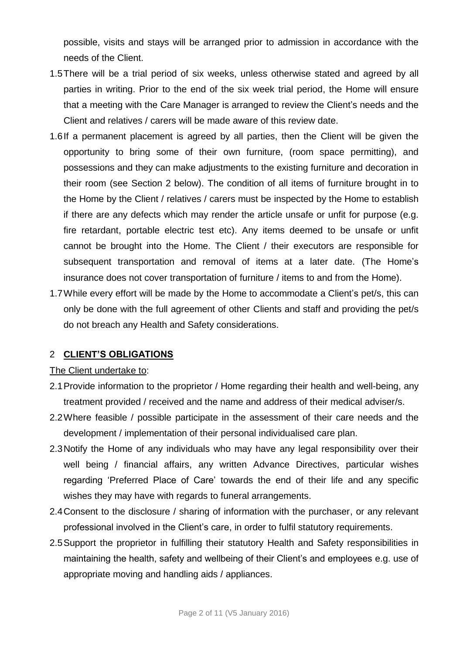possible, visits and stays will be arranged prior to admission in accordance with the needs of the Client.

- 1.5There will be a trial period of six weeks, unless otherwise stated and agreed by all parties in writing. Prior to the end of the six week trial period, the Home will ensure that a meeting with the Care Manager is arranged to review the Client's needs and the Client and relatives / carers will be made aware of this review date.
- 1.6If a permanent placement is agreed by all parties, then the Client will be given the opportunity to bring some of their own furniture, (room space permitting), and possessions and they can make adjustments to the existing furniture and decoration in their room (see Section 2 below). The condition of all items of furniture brought in to the Home by the Client / relatives / carers must be inspected by the Home to establish if there are any defects which may render the article unsafe or unfit for purpose (e.g. fire retardant, portable electric test etc). Any items deemed to be unsafe or unfit cannot be brought into the Home. The Client / their executors are responsible for subsequent transportation and removal of items at a later date. (The Home's insurance does not cover transportation of furniture / items to and from the Home).
- 1.7While every effort will be made by the Home to accommodate a Client's pet/s, this can only be done with the full agreement of other Clients and staff and providing the pet/s do not breach any Health and Safety considerations.

## 2 **CLIENT'S OBLIGATIONS**

#### The Client undertake to:

- 2.1Provide information to the proprietor / Home regarding their health and well-being, any treatment provided / received and the name and address of their medical adviser/s.
- 2.2Where feasible / possible participate in the assessment of their care needs and the development / implementation of their personal individualised care plan.
- 2.3Notify the Home of any individuals who may have any legal responsibility over their well being / financial affairs, any written Advance Directives, particular wishes regarding 'Preferred Place of Care' towards the end of their life and any specific wishes they may have with regards to funeral arrangements.
- 2.4Consent to the disclosure / sharing of information with the purchaser, or any relevant professional involved in the Client's care, in order to fulfil statutory requirements.
- 2.5Support the proprietor in fulfilling their statutory Health and Safety responsibilities in maintaining the health, safety and wellbeing of their Client's and employees e.g. use of appropriate moving and handling aids / appliances.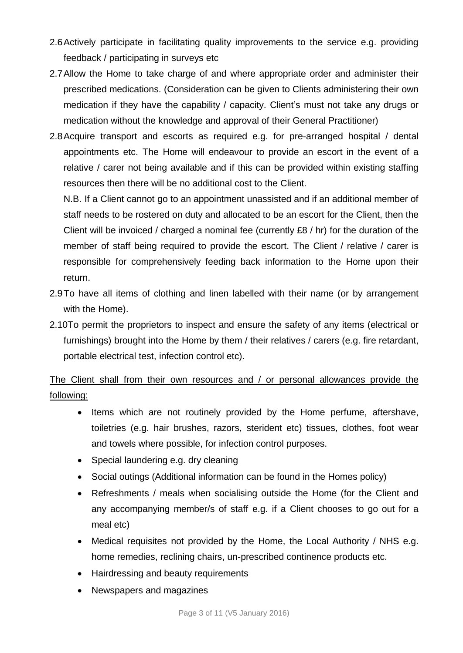- 2.6Actively participate in facilitating quality improvements to the service e.g. providing feedback / participating in surveys etc
- 2.7Allow the Home to take charge of and where appropriate order and administer their prescribed medications. (Consideration can be given to Clients administering their own medication if they have the capability / capacity. Client's must not take any drugs or medication without the knowledge and approval of their General Practitioner)
- 2.8Acquire transport and escorts as required e.g. for pre-arranged hospital / dental appointments etc. The Home will endeavour to provide an escort in the event of a relative / carer not being available and if this can be provided within existing staffing resources then there will be no additional cost to the Client.

N.B. If a Client cannot go to an appointment unassisted and if an additional member of staff needs to be rostered on duty and allocated to be an escort for the Client, then the Client will be invoiced / charged a nominal fee (currently £8 / hr) for the duration of the member of staff being required to provide the escort. The Client / relative / carer is responsible for comprehensively feeding back information to the Home upon their return.

- 2.9To have all items of clothing and linen labelled with their name (or by arrangement with the Home).
- 2.10To permit the proprietors to inspect and ensure the safety of any items (electrical or furnishings) brought into the Home by them / their relatives / carers (e.g. fire retardant, portable electrical test, infection control etc).

The Client shall from their own resources and / or personal allowances provide the following:

- Items which are not routinely provided by the Home perfume, aftershave, toiletries (e.g. hair brushes, razors, sterident etc) tissues, clothes, foot wear and towels where possible, for infection control purposes.
- Special laundering e.g. dry cleaning
- Social outings (Additional information can be found in the Homes policy)
- Refreshments / meals when socialising outside the Home (for the Client and any accompanying member/s of staff e.g. if a Client chooses to go out for a meal etc)
- Medical requisites not provided by the Home, the Local Authority / NHS e.g. home remedies, reclining chairs, un-prescribed continence products etc.
- Hairdressing and beauty requirements
- Newspapers and magazines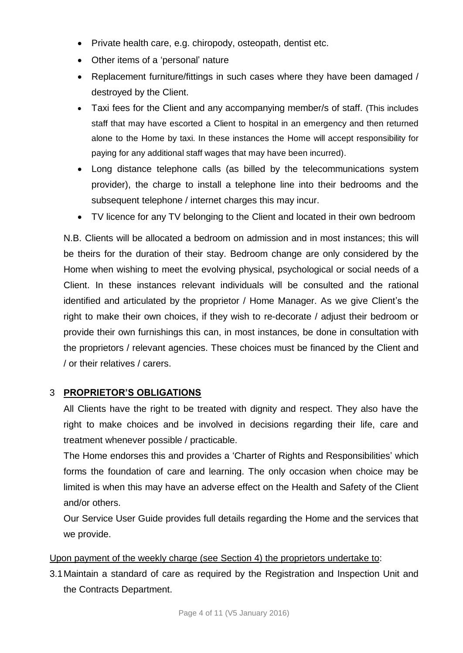- Private health care, e.g. chiropody, osteopath, dentist etc.
- Other items of a 'personal' nature
- Replacement furniture/fittings in such cases where they have been damaged / destroyed by the Client.
- Taxi fees for the Client and any accompanying member/s of staff. (This includes staff that may have escorted a Client to hospital in an emergency and then returned alone to the Home by taxi. In these instances the Home will accept responsibility for paying for any additional staff wages that may have been incurred).
- Long distance telephone calls (as billed by the telecommunications system provider), the charge to install a telephone line into their bedrooms and the subsequent telephone / internet charges this may incur.
- TV licence for any TV belonging to the Client and located in their own bedroom

N.B. Clients will be allocated a bedroom on admission and in most instances; this will be theirs for the duration of their stay. Bedroom change are only considered by the Home when wishing to meet the evolving physical, psychological or social needs of a Client. In these instances relevant individuals will be consulted and the rational identified and articulated by the proprietor / Home Manager. As we give Client's the right to make their own choices, if they wish to re-decorate / adjust their bedroom or provide their own furnishings this can, in most instances, be done in consultation with the proprietors / relevant agencies. These choices must be financed by the Client and / or their relatives / carers.

## 3 **PROPRIETOR'S OBLIGATIONS**

All Clients have the right to be treated with dignity and respect. They also have the right to make choices and be involved in decisions regarding their life, care and treatment whenever possible / practicable.

The Home endorses this and provides a 'Charter of Rights and Responsibilities' which forms the foundation of care and learning. The only occasion when choice may be limited is when this may have an adverse effect on the Health and Safety of the Client and/or others.

Our Service User Guide provides full details regarding the Home and the services that we provide.

## Upon payment of the weekly charge (see Section 4) the proprietors undertake to:

3.1Maintain a standard of care as required by the Registration and Inspection Unit and the Contracts Department.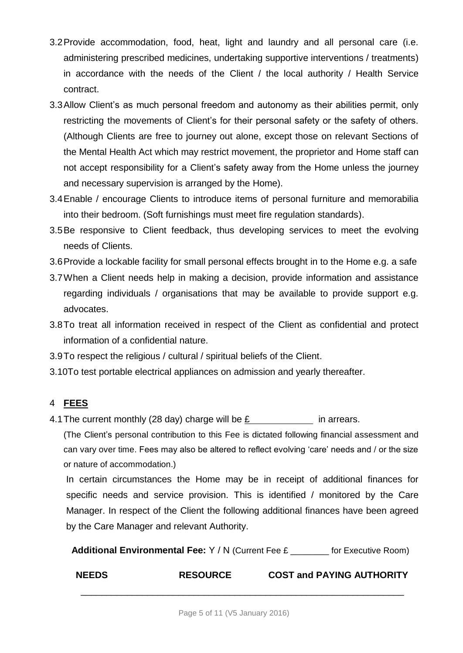- 3.2Provide accommodation, food, heat, light and laundry and all personal care (i.e. administering prescribed medicines, undertaking supportive interventions / treatments) in accordance with the needs of the Client / the local authority / Health Service contract.
- 3.3Allow Client's as much personal freedom and autonomy as their abilities permit, only restricting the movements of Client's for their personal safety or the safety of others. (Although Clients are free to journey out alone, except those on relevant Sections of the Mental Health Act which may restrict movement, the proprietor and Home staff can not accept responsibility for a Client's safety away from the Home unless the journey and necessary supervision is arranged by the Home).
- 3.4Enable / encourage Clients to introduce items of personal furniture and memorabilia into their bedroom. (Soft furnishings must meet fire regulation standards).
- 3.5Be responsive to Client feedback, thus developing services to meet the evolving needs of Clients.
- 3.6Provide a lockable facility for small personal effects brought in to the Home e.g. a safe
- 3.7When a Client needs help in making a decision, provide information and assistance regarding individuals / organisations that may be available to provide support e.g. advocates.
- 3.8To treat all information received in respect of the Client as confidential and protect information of a confidential nature.
- 3.9To respect the religious / cultural / spiritual beliefs of the Client.
- 3.10To test portable electrical appliances on admission and yearly thereafter.

# 4 **FEES**

4.1 The current monthly (28 day) charge will be  $\underline{E}$  in arrears.

(The Client's personal contribution to this Fee is dictated following financial assessment and can vary over time. Fees may also be altered to reflect evolving 'care' needs and / or the size or nature of accommodation.)

In certain circumstances the Home may be in receipt of additional finances for specific needs and service provision. This is identified / monitored by the Care Manager. In respect of the Client the following additional finances have been agreed by the Care Manager and relevant Authority.

**Additional Environmental Fee:** Y / N (Current Fee £ \_\_\_\_\_\_\_\_ for Executive Room)

**NEEDS RESOURCE COST and PAYING AUTHORITY**

\_\_\_\_\_\_\_\_\_\_\_\_\_\_\_\_\_\_\_\_\_\_\_\_\_\_\_\_\_\_\_\_\_\_\_\_\_\_\_\_\_\_\_\_\_\_\_\_\_\_\_\_\_\_\_\_\_\_\_\_\_\_\_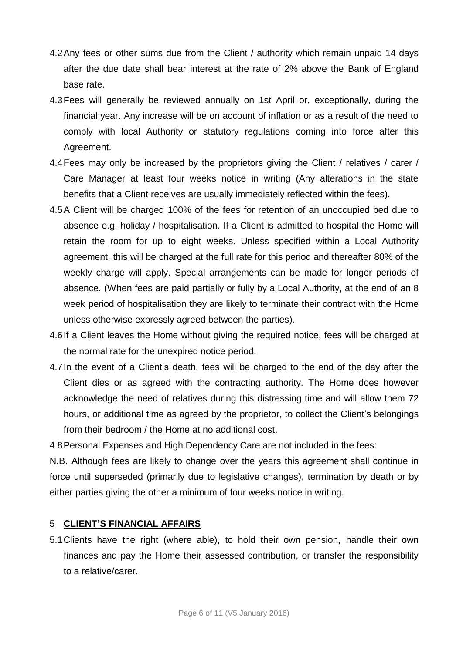- 4.2Any fees or other sums due from the Client / authority which remain unpaid 14 days after the due date shall bear interest at the rate of 2% above the Bank of England base rate.
- 4.3Fees will generally be reviewed annually on 1st April or, exceptionally, during the financial year. Any increase will be on account of inflation or as a result of the need to comply with local Authority or statutory regulations coming into force after this Agreement.
- 4.4Fees may only be increased by the proprietors giving the Client / relatives / carer / Care Manager at least four weeks notice in writing (Any alterations in the state benefits that a Client receives are usually immediately reflected within the fees).
- 4.5A Client will be charged 100% of the fees for retention of an unoccupied bed due to absence e.g. holiday / hospitalisation. If a Client is admitted to hospital the Home will retain the room for up to eight weeks. Unless specified within a Local Authority agreement, this will be charged at the full rate for this period and thereafter 80% of the weekly charge will apply. Special arrangements can be made for longer periods of absence. (When fees are paid partially or fully by a Local Authority, at the end of an 8 week period of hospitalisation they are likely to terminate their contract with the Home unless otherwise expressly agreed between the parties).
- 4.6If a Client leaves the Home without giving the required notice, fees will be charged at the normal rate for the unexpired notice period.
- 4.7In the event of a Client's death, fees will be charged to the end of the day after the Client dies or as agreed with the contracting authority. The Home does however acknowledge the need of relatives during this distressing time and will allow them 72 hours, or additional time as agreed by the proprietor, to collect the Client's belongings from their bedroom / the Home at no additional cost.

4.8Personal Expenses and High Dependency Care are not included in the fees:

N.B. Although fees are likely to change over the years this agreement shall continue in force until superseded (primarily due to legislative changes), termination by death or by either parties giving the other a minimum of four weeks notice in writing.

#### 5 **CLIENT'S FINANCIAL AFFAIRS**

5.1Clients have the right (where able), to hold their own pension, handle their own finances and pay the Home their assessed contribution, or transfer the responsibility to a relative/carer.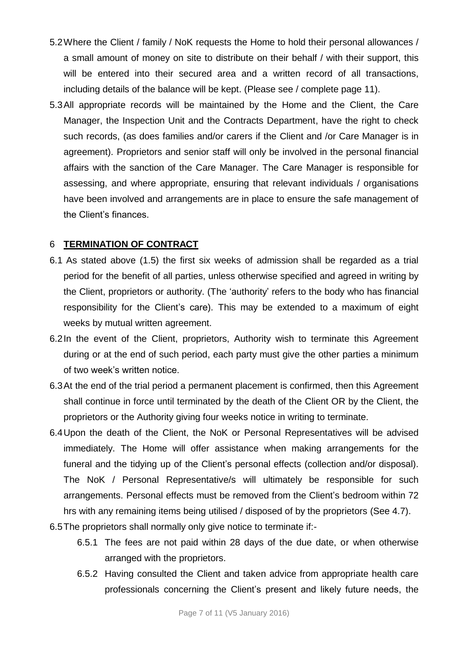- 5.2Where the Client / family / NoK requests the Home to hold their personal allowances / a small amount of money on site to distribute on their behalf / with their support, this will be entered into their secured area and a written record of all transactions, including details of the balance will be kept. (Please see / complete page 11).
- 5.3All appropriate records will be maintained by the Home and the Client, the Care Manager, the Inspection Unit and the Contracts Department, have the right to check such records, (as does families and/or carers if the Client and /or Care Manager is in agreement). Proprietors and senior staff will only be involved in the personal financial affairs with the sanction of the Care Manager. The Care Manager is responsible for assessing, and where appropriate, ensuring that relevant individuals / organisations have been involved and arrangements are in place to ensure the safe management of the Client's finances.

#### 6 **TERMINATION OF CONTRACT**

- 6.1 As stated above (1.5) the first six weeks of admission shall be regarded as a trial period for the benefit of all parties, unless otherwise specified and agreed in writing by the Client, proprietors or authority. (The 'authority' refers to the body who has financial responsibility for the Client's care). This may be extended to a maximum of eight weeks by mutual written agreement.
- 6.2In the event of the Client, proprietors, Authority wish to terminate this Agreement during or at the end of such period, each party must give the other parties a minimum of two week's written notice.
- 6.3At the end of the trial period a permanent placement is confirmed, then this Agreement shall continue in force until terminated by the death of the Client OR by the Client, the proprietors or the Authority giving four weeks notice in writing to terminate.
- 6.4Upon the death of the Client, the NoK or Personal Representatives will be advised immediately. The Home will offer assistance when making arrangements for the funeral and the tidying up of the Client's personal effects (collection and/or disposal). The NoK / Personal Representative/s will ultimately be responsible for such arrangements. Personal effects must be removed from the Client's bedroom within 72 hrs with any remaining items being utilised / disposed of by the proprietors (See 4.7).
- 6.5The proprietors shall normally only give notice to terminate if:-
	- 6.5.1 The fees are not paid within 28 days of the due date, or when otherwise arranged with the proprietors.
	- 6.5.2 Having consulted the Client and taken advice from appropriate health care professionals concerning the Client's present and likely future needs, the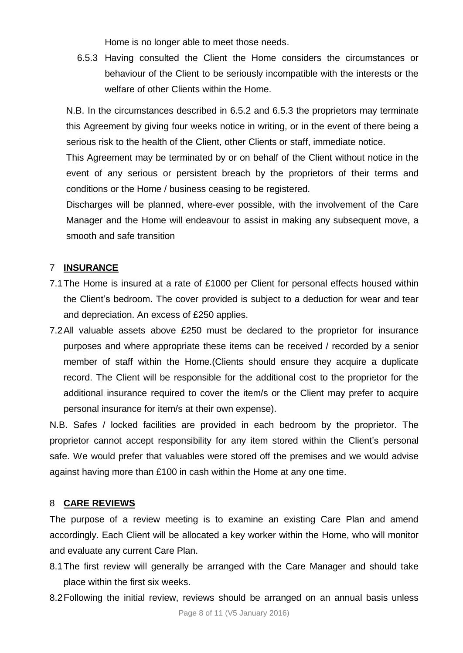Home is no longer able to meet those needs.

6.5.3 Having consulted the Client the Home considers the circumstances or behaviour of the Client to be seriously incompatible with the interests or the welfare of other Clients within the Home.

N.B. In the circumstances described in 6.5.2 and 6.5.3 the proprietors may terminate this Agreement by giving four weeks notice in writing, or in the event of there being a serious risk to the health of the Client, other Clients or staff, immediate notice.

This Agreement may be terminated by or on behalf of the Client without notice in the event of any serious or persistent breach by the proprietors of their terms and conditions or the Home / business ceasing to be registered.

Discharges will be planned, where-ever possible, with the involvement of the Care Manager and the Home will endeavour to assist in making any subsequent move, a smooth and safe transition

#### 7 **INSURANCE**

- 7.1The Home is insured at a rate of £1000 per Client for personal effects housed within the Client's bedroom. The cover provided is subject to a deduction for wear and tear and depreciation. An excess of £250 applies.
- 7.2All valuable assets above £250 must be declared to the proprietor for insurance purposes and where appropriate these items can be received / recorded by a senior member of staff within the Home.(Clients should ensure they acquire a duplicate record. The Client will be responsible for the additional cost to the proprietor for the additional insurance required to cover the item/s or the Client may prefer to acquire personal insurance for item/s at their own expense).

N.B. Safes / locked facilities are provided in each bedroom by the proprietor. The proprietor cannot accept responsibility for any item stored within the Client's personal safe. We would prefer that valuables were stored off the premises and we would advise against having more than £100 in cash within the Home at any one time.

#### 8 **CARE REVIEWS**

The purpose of a review meeting is to examine an existing Care Plan and amend accordingly. Each Client will be allocated a key worker within the Home, who will monitor and evaluate any current Care Plan.

- 8.1The first review will generally be arranged with the Care Manager and should take place within the first six weeks.
- 8.2Following the initial review, reviews should be arranged on an annual basis unless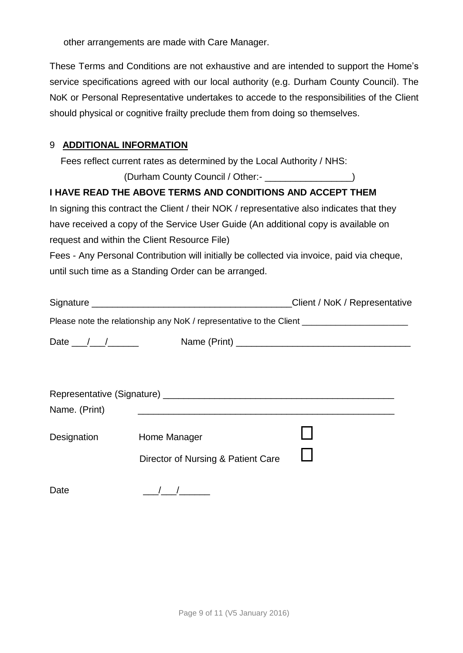other arrangements are made with Care Manager.

These Terms and Conditions are not exhaustive and are intended to support the Home's service specifications agreed with our local authority (e.g. Durham County Council). The NoK or Personal Representative undertakes to accede to the responsibilities of the Client should physical or cognitive frailty preclude them from doing so themselves.

### 9 **ADDITIONAL INFORMATION**

Fees reflect current rates as determined by the Local Authority / NHS:

(Durham County Council / Other:- \_\_\_\_\_\_\_\_\_\_\_\_\_\_\_\_\_)

## **I HAVE READ THE ABOVE TERMS AND CONDITIONS AND ACCEPT THEM**

In signing this contract the Client / their NOK / representative also indicates that they have received a copy of the Service User Guide (An additional copy is available on request and within the Client Resource File)

Fees - Any Personal Contribution will initially be collected via invoice, paid via cheque, until such time as a Standing Order can be arranged.

|                                       |                                                                                                      | Client / NoK / Representative |
|---------------------------------------|------------------------------------------------------------------------------------------------------|-------------------------------|
|                                       | Please note the relationship any NoK / representative to the Client ________________________________ |                               |
| Date $\frac{1}{\sqrt{1-\frac{1}{2}}}$ |                                                                                                      |                               |
|                                       |                                                                                                      |                               |
|                                       |                                                                                                      |                               |
| Name. (Print)                         |                                                                                                      |                               |
| Designation                           | Home Manager                                                                                         |                               |
|                                       | Director of Nursing & Patient Care                                                                   |                               |
|                                       |                                                                                                      |                               |

Date  $\begin{array}{c|c} \hline \end{array}$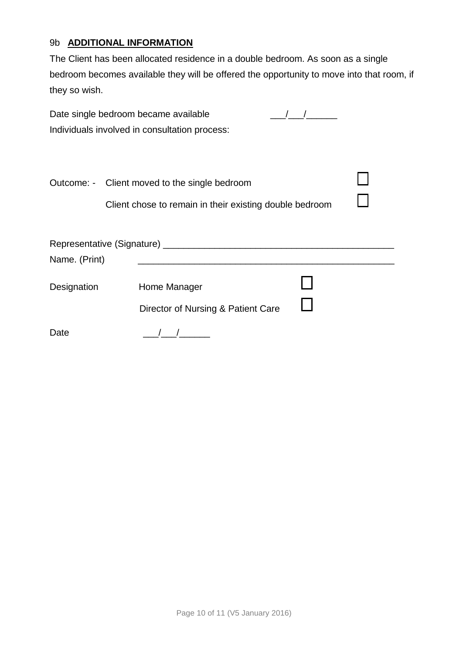## 9b **ADDITIONAL INFORMATION**

The Client has been allocated residence in a double bedroom. As soon as a single bedroom becomes available they will be offered the opportunity to move into that room, if they so wish.

| Date single bedroom became available |                                                                                                          |  |
|--------------------------------------|----------------------------------------------------------------------------------------------------------|--|
|                                      | Individuals involved in consultation process:                                                            |  |
|                                      | Outcome: - Client moved to the single bedroom<br>Client chose to remain in their existing double bedroom |  |
|                                      |                                                                                                          |  |
| Name. (Print)                        | <u> 1989 - Johann Barbara, martxa alemaniar amerikan a</u>                                               |  |
| Designation                          | Home Manager                                                                                             |  |
|                                      | Director of Nursing & Patient Care                                                                       |  |
| Date                                 |                                                                                                          |  |